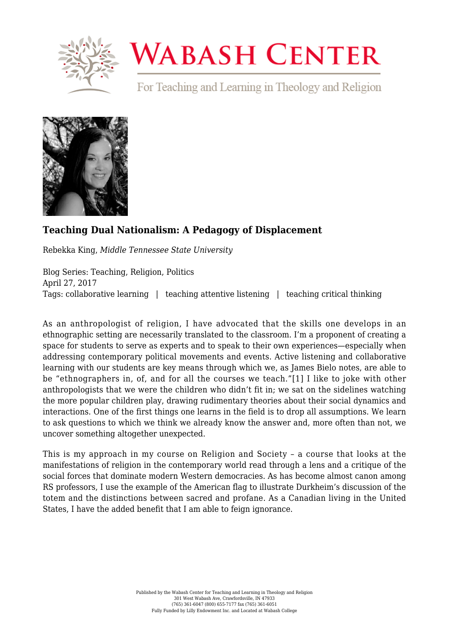

## **WABASH CENTER**

For Teaching and Learning in Theology and Religion



## **[Teaching Dual Nationalism: A Pedagogy of Displacement](https://www.wabashcenter.wabash.edu/2017/04/teaching-dual-nationalism-a-pedagogy-of-displacement/)**

Rebekka King, *Middle Tennessee State University*

Blog Series: Teaching, Religion, Politics April 27, 2017 Tags: collaborative learning | teaching attentive listening | teaching critical thinking

<span id="page-0-0"></span>As an anthropologist of religion, I have advocated that the skills one develops in an ethnographic setting are necessarily translated to the classroom. I'm a proponent of creating a space for students to serve as experts and to speak to their own experiences—especially when addressing contemporary political movements and events. Active listening and collaborative learning with our students are key means through which we, as James Bielo notes, are able to be "ethnographers in, of, and for all the courses we teach."[\[1\]](#page-3-0) I like to joke with other anthropologists that we were the children who didn't fit in; we sat on the sidelines watching the more popular children play, drawing rudimentary theories about their social dynamics and interactions. One of the first things one learns in the field is to drop all assumptions. We learn to ask questions to which we think we already know the answer and, more often than not, we uncover something altogether unexpected.

This is my approach in my course on Religion and Society – a course that looks at the manifestations of religion in the contemporary world read through a lens and a critique of the social forces that dominate modern Western democracies. As has become almost canon among RS professors, I use the example of the American flag to illustrate Durkheim's discussion of the totem and the distinctions between sacred and profane. As a Canadian living in the United States, I have the added benefit that I am able to feign ignorance.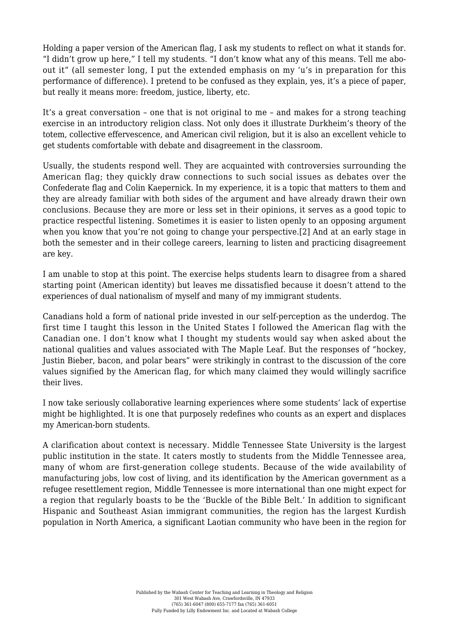Holding a paper version of the American flag, I ask my students to reflect on what it stands for. "I didn't grow up here," I tell my students. "I don't know what any of this means. Tell me aboout it" (all semester long, I put the extended emphasis on my 'u's in preparation for this performance of difference). I pretend to be confused as they explain, yes, it's a piece of paper, but really it means more: freedom, justice, liberty, etc.

It's a great conversation – one that is not original to me – and makes for a strong teaching exercise in an introductory religion class. Not only does it illustrate Durkheim's theory of the totem, collective effervescence, and American civil religion, but it is also an excellent vehicle to get students comfortable with debate and disagreement in the classroom.

Usually, the students respond well. They are acquainted with controversies surrounding the American flag; they quickly draw connections to such social issues as debates over the Confederate flag and Colin Kaepernick. In my experience, it is a topic that matters to them and they are already familiar with both sides of the argument and have already drawn their own conclusions. Because they are more or less set in their opinions, it serves as a good topic to practice respectful listening. Sometimes it is easier to listen openly to an opposing argument when you know that you're not going to change your perspective.[\[2\]](#page-3-1) And at an early stage in both the semester and in their college careers, learning to listen and practicing disagreement are key.

<span id="page-1-0"></span>I am unable to stop at this point. The exercise helps students learn to disagree from a shared starting point (American identity) but leaves me dissatisfied because it doesn't attend to the experiences of dual nationalism of myself and many of my immigrant students.

Canadians hold a form of national pride invested in our self-perception as the underdog. The first time I taught this lesson in the United States I followed the American flag with the Canadian one. I don't know what I thought my students would say when asked about the national qualities and values associated with The Maple Leaf. But the responses of "hockey, Justin Bieber, bacon, and polar bears" were strikingly in contrast to the discussion of the core values signified by the American flag, for which many claimed they would willingly sacrifice their lives.

I now take seriously collaborative learning experiences where some students' lack of expertise might be highlighted. It is one that purposely redefines who counts as an expert and displaces my American-born students.

A clarification about context is necessary. Middle Tennessee State University is the largest public institution in the state. It caters mostly to students from the Middle Tennessee area, many of whom are first-generation college students. Because of the wide availability of manufacturing jobs, low cost of living, and its identification by the American government as a refugee resettlement region, Middle Tennessee is more international than one might expect for a region that regularly boasts to be the 'Buckle of the Bible Belt.' In addition to significant Hispanic and Southeast Asian immigrant communities, the region has the largest Kurdish population in North America, a significant Laotian community who have been in the region for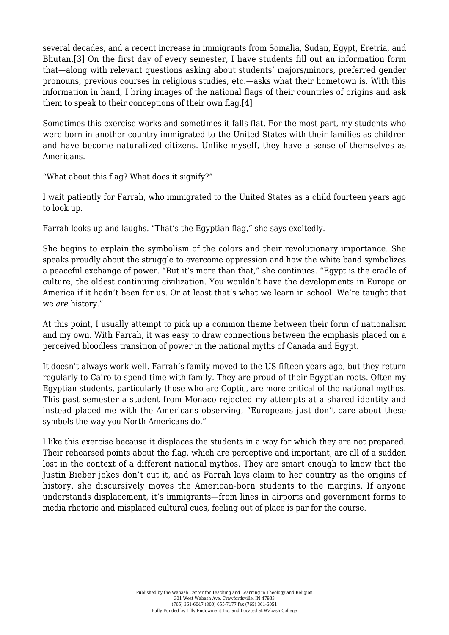<span id="page-2-0"></span>several decades, and a recent increase in immigrants from Somalia, Sudan, Egypt, Eretria, and Bhutan.[\[3\]](#page-3-2) On the first day of every semester, I have students fill out an information form that—along with relevant questions asking about students' majors/minors, preferred gender pronouns, previous courses in religious studies, etc.—asks what their hometown is. With this information in hand, I bring images of the national flags of their countries of origins and ask them to speak to their conceptions of their own flag.[\[4\]](#page-3-3)

<span id="page-2-1"></span>Sometimes this exercise works and sometimes it falls flat. For the most part, my students who were born in another country immigrated to the United States with their families as children and have become naturalized citizens. Unlike myself, they have a sense of themselves as Americans.

"What about this flag? What does it signify?"

I wait patiently for Farrah, who immigrated to the United States as a child fourteen years ago to look up.

Farrah looks up and laughs. "That's the Egyptian flag," she says excitedly.

She begins to explain the symbolism of the colors and their revolutionary importance. She speaks proudly about the struggle to overcome oppression and how the white band symbolizes a peaceful exchange of power. "But it's more than that," she continues. "Egypt is the cradle of culture, the oldest continuing civilization. You wouldn't have the developments in Europe or America if it hadn't been for us. Or at least that's what we learn in school. We're taught that we *are* history."

At this point, I usually attempt to pick up a common theme between their form of nationalism and my own. With Farrah, it was easy to draw connections between the emphasis placed on a perceived bloodless transition of power in the national myths of Canada and Egypt.

It doesn't always work well. Farrah's family moved to the US fifteen years ago, but they return regularly to Cairo to spend time with family. They are proud of their Egyptian roots. Often my Egyptian students, particularly those who are Coptic, are more critical of the national mythos. This past semester a student from Monaco rejected my attempts at a shared identity and instead placed me with the Americans observing, "Europeans just don't care about these symbols the way you North Americans do."

I like this exercise because it displaces the students in a way for which they are not prepared. Their rehearsed points about the flag, which are perceptive and important, are all of a sudden lost in the context of a different national mythos. They are smart enough to know that the Justin Bieber jokes don't cut it, and as Farrah lays claim to her country as the origins of history, she discursively moves the American-born students to the margins. If anyone understands displacement, it's immigrants—from lines in airports and government forms to media rhetoric and misplaced cultural cues, feeling out of place is par for the course.